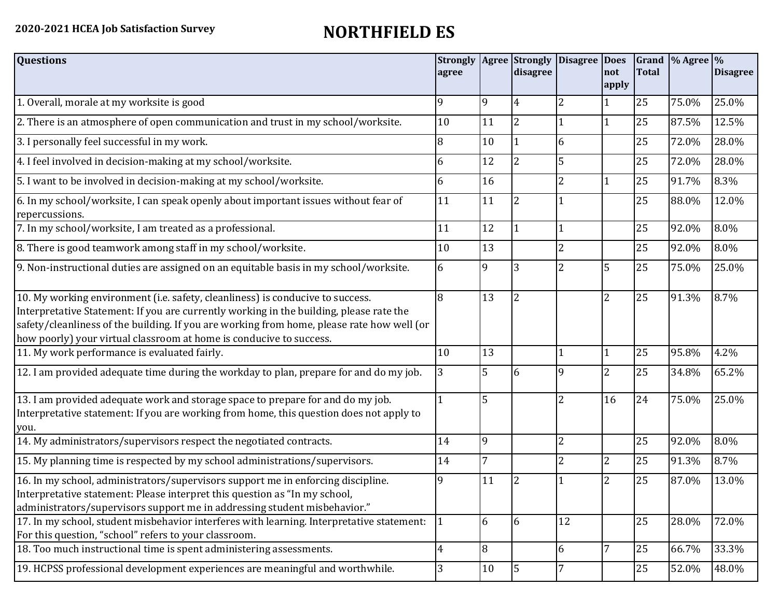## **2020-2021 HCEA Job Satisfaction Survey NORTHFIELD ES**

| <b>Questions</b>                                                                                                                                                                                                                                                                                                                               | <b>Strongly</b><br>agree |    | Agree Strongly<br>disagree | <b>Disagree</b>          | <b>Does</b><br>not<br>lapply | <b>Total</b> | Grand $\frac{9}{6}$ Agree $\frac{9}{6}$ | <b>Disagree</b> |
|------------------------------------------------------------------------------------------------------------------------------------------------------------------------------------------------------------------------------------------------------------------------------------------------------------------------------------------------|--------------------------|----|----------------------------|--------------------------|------------------------------|--------------|-----------------------------------------|-----------------|
| 1. Overall, morale at my worksite is good                                                                                                                                                                                                                                                                                                      | 9                        | 9  | 4                          | 2                        |                              | 25           | 75.0%                                   | 25.0%           |
| 2. There is an atmosphere of open communication and trust in my school/worksite.                                                                                                                                                                                                                                                               | 10                       | 11 | $\overline{2}$             |                          |                              | 25           | 87.5%                                   | 12.5%           |
| 3. I personally feel successful in my work.                                                                                                                                                                                                                                                                                                    | 8                        | 10 |                            | 6                        |                              | 25           | 72.0%                                   | 28.0%           |
| 4. I feel involved in decision-making at my school/worksite.                                                                                                                                                                                                                                                                                   | 6                        | 12 | $\overline{2}$             | 5                        |                              | 25           | 72.0%                                   | 28.0%           |
| 5. I want to be involved in decision-making at my school/worksite.                                                                                                                                                                                                                                                                             | 6                        | 16 |                            | 2                        |                              | 25           | 91.7%                                   | 8.3%            |
| 6. In my school/worksite, I can speak openly about important issues without fear of<br>repercussions.                                                                                                                                                                                                                                          | 11                       | 11 | 2                          |                          |                              | 25           | 88.0%                                   | 12.0%           |
| 7. In my school/worksite, I am treated as a professional.                                                                                                                                                                                                                                                                                      | 11                       | 12 |                            |                          |                              | 25           | 92.0%                                   | 8.0%            |
| 8. There is good teamwork among staff in my school/worksite.                                                                                                                                                                                                                                                                                   | 10                       | 13 |                            | $\overline{\mathcal{L}}$ |                              | 25           | 92.0%                                   | 8.0%            |
| 9. Non-instructional duties are assigned on an equitable basis in my school/worksite.                                                                                                                                                                                                                                                          | 6                        | 9  | 3                          | 2                        | 5                            | 25           | 75.0%                                   | 25.0%           |
| 10. My working environment (i.e. safety, cleanliness) is conducive to success.<br>Interpretative Statement: If you are currently working in the building, please rate the<br>safety/cleanliness of the building. If you are working from home, please rate how well (or<br>how poorly) your virtual classroom at home is conducive to success. | 8                        | 13 | $\overline{2}$             |                          | $\overline{2}$               | 25           | 91.3%                                   | 8.7%            |
| 11. My work performance is evaluated fairly.                                                                                                                                                                                                                                                                                                   | 10                       | 13 |                            |                          |                              | 25           | 95.8%                                   | 4.2%            |
| 12. I am provided adequate time during the workday to plan, prepare for and do my job.                                                                                                                                                                                                                                                         | 3                        | 5  | 6                          | 9                        | $\overline{2}$               | 25           | 34.8%                                   | 65.2%           |
| 13. I am provided adequate work and storage space to prepare for and do my job.<br>Interpretative statement: If you are working from home, this question does not apply to<br>you.                                                                                                                                                             |                          | 5  |                            | $\overline{2}$           | 16                           | 24           | 75.0%                                   | 25.0%           |
| 14. My administrators/supervisors respect the negotiated contracts.                                                                                                                                                                                                                                                                            | 14                       | 9  |                            | $\overline{2}$           |                              | 25           | 92.0%                                   | 8.0%            |
| 15. My planning time is respected by my school administrations/supervisors.                                                                                                                                                                                                                                                                    | 14                       | 7  |                            | 2                        | 2                            | 25           | 91.3%                                   | 8.7%            |
| 16. In my school, administrators/supervisors support me in enforcing discipline.<br>Interpretative statement: Please interpret this question as "In my school,<br>administrators/supervisors support me in addressing student misbehavior."                                                                                                    | 9                        | 11 |                            |                          | $\overline{2}$               | 25           | 87.0%                                   | 13.0%           |
| 17. In my school, student misbehavior interferes with learning. Interpretative statement:<br>For this question, "school" refers to your classroom.                                                                                                                                                                                             |                          | 6  | 16                         | 12                       |                              | 25           | 28.0%                                   | 72.0%           |
| 18. Too much instructional time is spent administering assessments.                                                                                                                                                                                                                                                                            | 4                        | 18 |                            | 6                        |                              | 25           | 66.7%                                   | 33.3%           |
| 19. HCPSS professional development experiences are meaningful and worthwhile.                                                                                                                                                                                                                                                                  | 3                        | 10 | 15                         | 7                        |                              | 25           | 52.0%                                   | 48.0%           |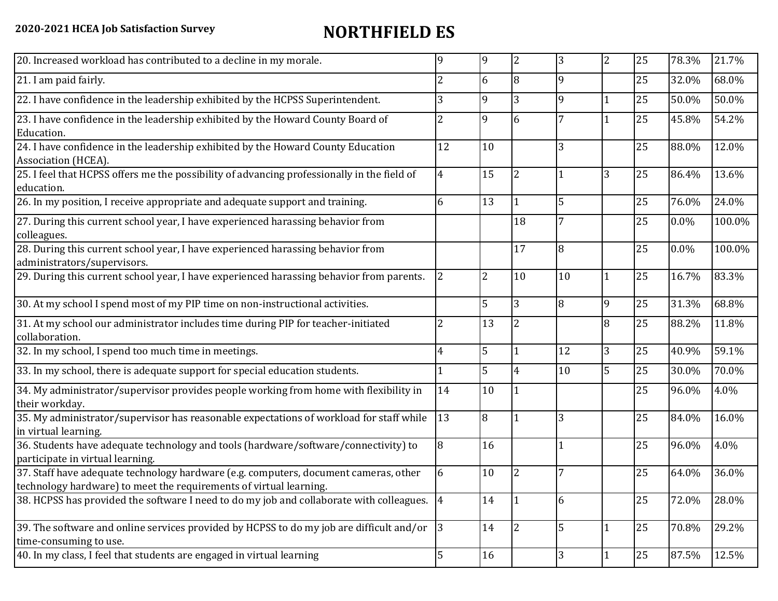## **2020-2021 HCEA Job Satisfaction Survey NORTHFIELD ES**

| 20. Increased workload has contributed to a decline in my morale.                                                                                          | q              | 9              | $\overline{2}$ | 3  | $\overline{2}$ | 25 | 78.3%   | 21.7%  |
|------------------------------------------------------------------------------------------------------------------------------------------------------------|----------------|----------------|----------------|----|----------------|----|---------|--------|
| 21. I am paid fairly.                                                                                                                                      | 2              | 6              | 8              | 9  |                | 25 | 32.0%   | 68.0%  |
| 22. I have confidence in the leadership exhibited by the HCPSS Superintendent.                                                                             | 3              | $\mathbf{Q}$   | 3              | 9  |                | 25 | 50.0%   | 50.0%  |
| 23. I have confidence in the leadership exhibited by the Howard County Board of<br>Education.                                                              | 2              | 9              | 6              |    |                | 25 | 45.8%   | 54.2%  |
| 24. I have confidence in the leadership exhibited by the Howard County Education<br>Association (HCEA).                                                    | 12             | 10             |                | 3  |                | 25 | 88.0%   | 12.0%  |
| 25. I feel that HCPSS offers me the possibility of advancing professionally in the field of<br>education.                                                  | $\overline{4}$ | 15             | 2              |    | 3              | 25 | 86.4%   | 13.6%  |
| 26. In my position, I receive appropriate and adequate support and training.                                                                               | 6              | 13             |                | 5  |                | 25 | 76.0%   | 24.0%  |
| 27. During this current school year, I have experienced harassing behavior from<br>colleagues.                                                             |                |                | 18             | 7  |                | 25 | $0.0\%$ | 100.0% |
| 28. During this current school year, I have experienced harassing behavior from<br>administrators/supervisors.                                             |                |                | 17             | 8  |                | 25 | 0.0%    | 100.0% |
| 29. During this current school year, I have experienced harassing behavior from parents.                                                                   | $\overline{2}$ | $\overline{2}$ | 10             | 10 |                | 25 | 16.7%   | 83.3%  |
| 30. At my school I spend most of my PIP time on non-instructional activities.                                                                              |                | 5              | 3              | 8  | 9              | 25 | 31.3%   | 68.8%  |
| 31. At my school our administrator includes time during PIP for teacher-initiated<br>collaboration.                                                        | $\overline{2}$ | 13             | $\overline{2}$ |    | 8              | 25 | 88.2%   | 11.8%  |
| 32. In my school, I spend too much time in meetings.                                                                                                       | 4              | 5              |                | 12 | 3              | 25 | 40.9%   | 59.1%  |
| 33. In my school, there is adequate support for special education students.                                                                                |                | 5              | 4              | 10 | 5              | 25 | 30.0%   | 70.0%  |
| 34. My administrator/supervisor provides people working from home with flexibility in<br>their workday.                                                    | 14             | 10             |                |    |                | 25 | 96.0%   | 4.0%   |
| 35. My administrator/supervisor has reasonable expectations of workload for staff while<br>in virtual learning.                                            | 13             | 8              |                | 3  |                | 25 | 84.0%   | 16.0%  |
| 36. Students have adequate technology and tools (hardware/software/connectivity) to<br>participate in virtual learning.                                    | 8              | 16             |                |    |                | 25 | 96.0%   | 4.0%   |
| 37. Staff have adequate technology hardware (e.g. computers, document cameras, other<br>technology hardware) to meet the requirements of virtual learning. | 6              | 10             | 2              |    |                | 25 | 64.0%   | 36.0%  |
| 38. HCPSS has provided the software I need to do my job and collaborate with colleagues.                                                                   | 4              | 14             |                | 6  |                | 25 | 72.0%   | 28.0%  |
| 39. The software and online services provided by HCPSS to do my job are difficult and/or<br>time-consuming to use.                                         | $ 3\rangle$    | 14             | 2              | 5  |                | 25 | 70.8%   | 29.2%  |
| 40. In my class, I feel that students are engaged in virtual learning                                                                                      | 5              | 16             |                | 3  |                | 25 | 87.5%   | 12.5%  |